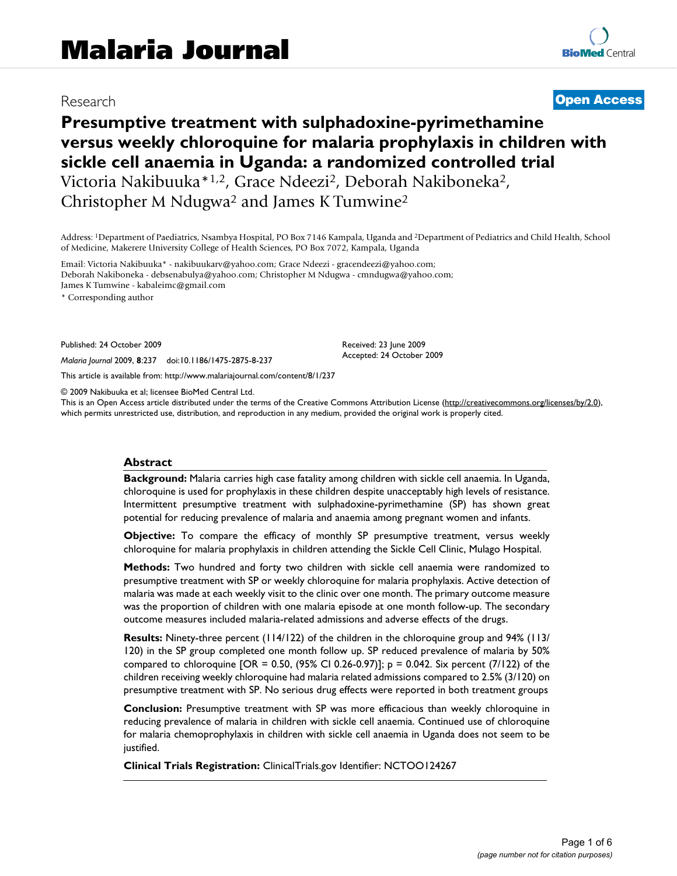# Research

# **[Open Access](http://www.biomedcentral.com/info/about/charter/)**

# **Presumptive treatment with sulphadoxine-pyrimethamine versus weekly chloroquine for malaria prophylaxis in children with sickle cell anaemia in Uganda: a randomized controlled trial** Victoria Nakibuuka\*1,2, Grace Ndeezi2, Deborah Nakiboneka2, Christopher M Ndugwa2 and James K Tumwine2

Address: 1Department of Paediatrics, Nsambya Hospital, PO Box 7146 Kampala, Uganda and 2Department of Pediatrics and Child Health, School of Medicine, Makerere University College of Health Sciences, PO Box 7072, Kampala, Uganda

Email: Victoria Nakibuuka\* - nakibuukarv@yahoo.com; Grace Ndeezi - gracendeezi@yahoo.com; Deborah Nakiboneka - debsenabulya@yahoo.com; Christopher M Ndugwa - cmndugwa@yahoo.com; James K Tumwine - kabaleimc@gmail.com

\* Corresponding author

Published: 24 October 2009

*Malaria Journal* 2009, **8**:237 doi:10.1186/1475-2875-8-237

[This article is available from: http://www.malariajournal.com/content/8/1/237](http://www.malariajournal.com/content/8/1/237)

© 2009 Nakibuuka et al; licensee BioMed Central Ltd.

This is an Open Access article distributed under the terms of the Creative Commons Attribution License [\(http://creativecommons.org/licenses/by/2.0\)](http://creativecommons.org/licenses/by/2.0), which permits unrestricted use, distribution, and reproduction in any medium, provided the original work is properly cited.

Received: 23 June 2009 Accepted: 24 October 2009

#### **Abstract**

**Background:** Malaria carries high case fatality among children with sickle cell anaemia. In Uganda, chloroquine is used for prophylaxis in these children despite unacceptably high levels of resistance. Intermittent presumptive treatment with sulphadoxine-pyrimethamine (SP) has shown great potential for reducing prevalence of malaria and anaemia among pregnant women and infants.

**Objective:** To compare the efficacy of monthly SP presumptive treatment, versus weekly chloroquine for malaria prophylaxis in children attending the Sickle Cell Clinic, Mulago Hospital.

**Methods:** Two hundred and forty two children with sickle cell anaemia were randomized to presumptive treatment with SP or weekly chloroquine for malaria prophylaxis. Active detection of malaria was made at each weekly visit to the clinic over one month. The primary outcome measure was the proportion of children with one malaria episode at one month follow-up. The secondary outcome measures included malaria-related admissions and adverse effects of the drugs.

**Results:** Ninety-three percent (114/122) of the children in the chloroquine group and 94% (113/ 120) in the SP group completed one month follow up. SP reduced prevalence of malaria by 50% compared to chloroquine [OR = 0.50, (95% CI 0.26-0.97)]; p = 0.042. Six percent (7/122) of the children receiving weekly chloroquine had malaria related admissions compared to 2.5% (3/120) on presumptive treatment with SP. No serious drug effects were reported in both treatment groups

**Conclusion:** Presumptive treatment with SP was more efficacious than weekly chloroquine in reducing prevalence of malaria in children with sickle cell anaemia. Continued use of chloroquine for malaria chemoprophylaxis in children with sickle cell anaemia in Uganda does not seem to be justified.

**Clinical Trials Registration:** ClinicalTrials.gov Identifier: NCTOO124267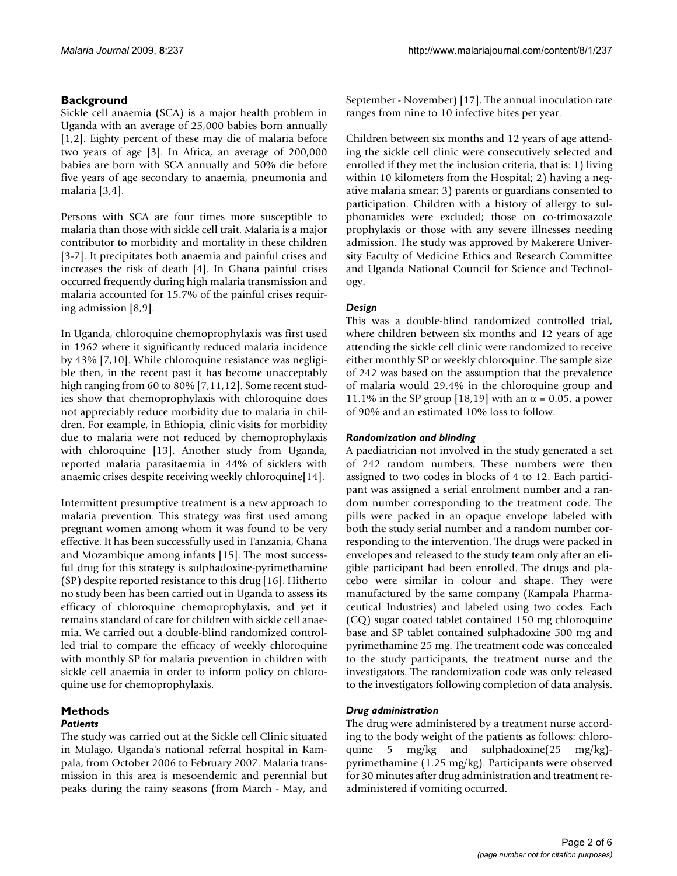# **Background**

Sickle cell anaemia (SCA) is a major health problem in Uganda with an average of 25,000 babies born annually [[1](#page-5-0)[,2\]](#page-5-1). Eighty percent of these may die of malaria before two years of age [\[3\]](#page-5-2). In Africa, an average of 200,000 babies are born with SCA annually and 50% die before five years of age secondary to anaemia, pneumonia and malaria [[3](#page-5-2),[4](#page-5-3)].

Persons with SCA are four times more susceptible to malaria than those with sickle cell trait. Malaria is a major contributor to morbidity and mortality in these children [[3-](#page-5-2)[7](#page-5-4)]. It precipitates both anaemia and painful crises and increases the risk of death [[4](#page-5-3)]. In Ghana painful crises occurred frequently during high malaria transmission and malaria accounted for 15.7% of the painful crises requiring admission [[8,](#page-5-5)[9\]](#page-5-6).

In Uganda, chloroquine chemoprophylaxis was first used in 1962 where it significantly reduced malaria incidence by 43% [[7](#page-5-4),[10](#page-5-7)]. While chloroquine resistance was negligible then, in the recent past it has become unacceptably high ranging from 60 to 80% [[7](#page-5-4),[11](#page-5-8),[12\]](#page-5-9). Some recent studies show that chemoprophylaxis with chloroquine does not appreciably reduce morbidity due to malaria in children. For example, in Ethiopia, clinic visits for morbidity due to malaria were not reduced by chemoprophylaxis with chloroquine [[13](#page-5-10)]. Another study from Uganda, reported malaria parasitaemia in 44% of sicklers with anaemic crises despite receiving weekly chloroquine[\[14\]](#page-5-11).

Intermittent presumptive treatment is a new approach to malaria prevention. This strategy was first used among pregnant women among whom it was found to be very effective. It has been successfully used in Tanzania, Ghana and Mozambique among infants [\[15\]](#page-5-12). The most successful drug for this strategy is sulphadoxine-pyrimethamine (SP) despite reported resistance to this drug [\[16\]](#page-5-13). Hitherto no study been has been carried out in Uganda to assess its efficacy of chloroquine chemoprophylaxis, and yet it remains standard of care for children with sickle cell anaemia. We carried out a double-blind randomized controlled trial to compare the efficacy of weekly chloroquine with monthly SP for malaria prevention in children with sickle cell anaemia in order to inform policy on chloroquine use for chemoprophylaxis.

# **Methods**

# *Patients*

The study was carried out at the Sickle cell Clinic situated in Mulago, Uganda's national referral hospital in Kampala, from October 2006 to February 2007. Malaria transmission in this area is mesoendemic and perennial but peaks during the rainy seasons (from March - May, and September - November) [\[17](#page-5-14)]. The annual inoculation rate ranges from nine to 10 infective bites per year.

Children between six months and 12 years of age attending the sickle cell clinic were consecutively selected and enrolled if they met the inclusion criteria, that is: 1) living within 10 kilometers from the Hospital; 2) having a negative malaria smear; 3) parents or guardians consented to participation. Children with a history of allergy to sulphonamides were excluded; those on co-trimoxazole prophylaxis or those with any severe illnesses needing admission. The study was approved by Makerere University Faculty of Medicine Ethics and Research Committee and Uganda National Council for Science and Technology.

# *Design*

This was a double-blind randomized controlled trial, where children between six months and 12 years of age attending the sickle cell clinic were randomized to receive either monthly SP or weekly chloroquine. The sample size of 242 was based on the assumption that the prevalence of malaria would 29.4% in the chloroquine group and 11.1% in the SP group [[18](#page-5-15),[19\]](#page-5-16) with an  $\alpha$  = 0.05, a power of 90% and an estimated 10% loss to follow.

## *Randomization and blinding*

A paediatrician not involved in the study generated a set of 242 random numbers. These numbers were then assigned to two codes in blocks of 4 to 12. Each participant was assigned a serial enrolment number and a random number corresponding to the treatment code. The pills were packed in an opaque envelope labeled with both the study serial number and a random number corresponding to the intervention. The drugs were packed in envelopes and released to the study team only after an eligible participant had been enrolled. The drugs and placebo were similar in colour and shape. They were manufactured by the same company (Kampala Pharmaceutical Industries) and labeled using two codes. Each (CQ) sugar coated tablet contained 150 mg chloroquine base and SP tablet contained sulphadoxine 500 mg and pyrimethamine 25 mg. The treatment code was concealed to the study participants, the treatment nurse and the investigators. The randomization code was only released to the investigators following completion of data analysis.

## *Drug administration*

The drug were administered by a treatment nurse according to the body weight of the patients as follows: chloroquine 5 mg/kg and sulphadoxine(25 mg/kg) pyrimethamine (1.25 mg/kg). Participants were observed for 30 minutes after drug administration and treatment readministered if vomiting occurred.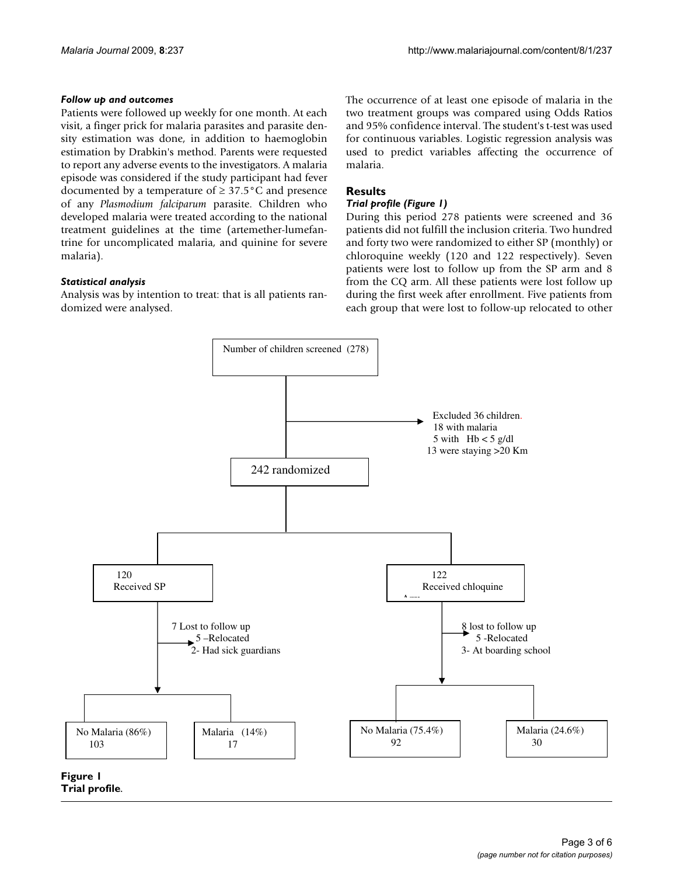## *Follow up and outcomes*

Patients were followed up weekly for one month. At each visit, a finger prick for malaria parasites and parasite density estimation was done, in addition to haemoglobin estimation by Drabkin's method. Parents were requested to report any adverse events to the investigators. A malaria episode was considered if the study participant had fever documented by a temperature of  $\geq 37.5^{\circ}$ C and presence of any *Plasmodium falciparum* parasite. Children who developed malaria were treated according to the national treatment guidelines at the time (artemether-lumefantrine for uncomplicated malaria, and quinine for severe malaria).

## *Statistical analysis*

Analysis was by intention to treat: that is all patients randomized were analysed.

The occurrence of at least one episode of malaria in the two treatment groups was compared using Odds Ratios and 95% confidence interval. The student's t-test was used for continuous variables. Logistic regression analysis was used to predict variables affecting the occurrence of malaria.

## **Results**

## *Trial profile (Figure [1](#page-2-0))*

During this period 278 patients were screened and 36 patients did not fulfill the inclusion criteria. Two hundred and forty two were randomized to either SP (monthly) or chloroquine weekly (120 and 122 respectively). Seven patients were lost to follow up from the SP arm and 8 from the CQ arm. All these patients were lost follow up during the first week after enrollment. Five patients from each group that were lost to follow-up relocated to other

<span id="page-2-0"></span>

**Trial profile**.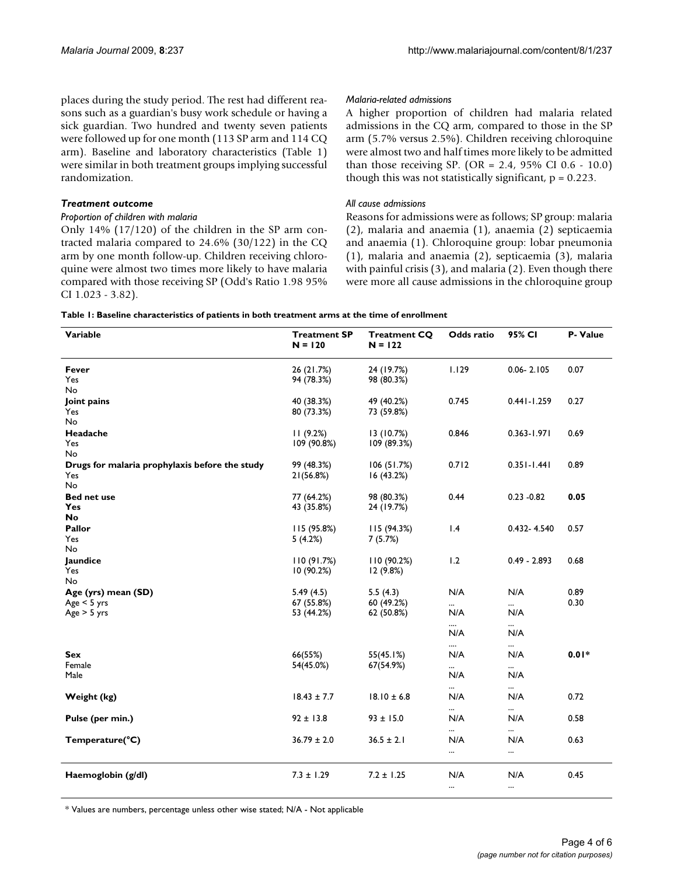places during the study period. The rest had different reasons such as a guardian's busy work schedule or having a sick guardian. Two hundred and twenty seven patients were followed up for one month (113 SP arm and 114 CQ arm). Baseline and laboratory characteristics (Table [1](#page-3-0)) were similar in both treatment groups implying successful randomization.

#### *Treatment outcome*

#### *Proportion of children with malaria*

Only 14% (17/120) of the children in the SP arm contracted malaria compared to 24.6% (30/122) in the CQ arm by one month follow-up. Children receiving chloroquine were almost two times more likely to have malaria compared with those receiving SP (Odd's Ratio 1.98 95% CI 1.023 - 3.82).

#### *Malaria-related admissions*

A higher proportion of children had malaria related admissions in the CQ arm, compared to those in the SP arm (5.7% versus 2.5%). Children receiving chloroquine were almost two and half times more likely to be admitted than those receiving SP. (OR = 2.4, 95% CI 0.6 - 10.0) though this was not statistically significant,  $p = 0.223$ .

#### *All cause admissions*

Reasons for admissions were as follows; SP group: malaria (2), malaria and anaemia (1), anaemia (2) septicaemia and anaemia (1). Chloroquine group: lobar pneumonia (1), malaria and anaemia (2), septicaemia (3), malaria with painful crisis (3), and malaria (2). Even though there were more all cause admissions in the chloroquine group

<span id="page-3-0"></span>

| Variable                                       | <b>Treatment SP</b><br>$N = 120$ | <b>Treatment CQ</b><br>$N = 122$ | Odds ratio      | 95% CI          | P- Value |
|------------------------------------------------|----------------------------------|----------------------------------|-----------------|-----------------|----------|
| Fever                                          | 26 (21.7%)                       | 24 (19.7%)                       | 1.129           | $0.06 - 2.105$  | 0.07     |
| Yes                                            | 94 (78.3%)                       | 98 (80.3%)                       |                 |                 |          |
| No                                             |                                  |                                  |                 |                 |          |
| Joint pains                                    | 40 (38.3%)                       | 49 (40.2%)                       | 0.745           | $0.441 - 1.259$ | 0.27     |
| Yes                                            | 80 (73.3%)                       | 73 (59.8%)                       |                 |                 |          |
| <b>No</b>                                      |                                  |                                  |                 |                 |          |
| Headache                                       | 11(9.2%)                         | 13(10.7%)                        | 0.846           | $0.363 - 1.971$ | 0.69     |
| Yes                                            | 109 (90.8%)                      | 109 (89.3%)                      |                 |                 |          |
| No                                             |                                  |                                  |                 |                 |          |
| Drugs for malaria prophylaxis before the study | 99 (48.3%)                       | 106(51.7%)                       | 0.712           | $0.351 - 1.441$ | 0.89     |
| Yes                                            | 21(56.8%)                        | 16(43.2%)                        |                 |                 |          |
| <b>No</b>                                      |                                  |                                  |                 |                 |          |
| <b>Bed net use</b>                             | 77 (64.2%)                       | 98 (80.3%)                       | 0.44            | $0.23 - 0.82$   | 0.05     |
| Yes                                            | 43 (35.8%)                       | 24 (19.7%)                       |                 |                 |          |
| No                                             |                                  |                                  |                 |                 |          |
| Pallor                                         | 115(95.8%)                       | 115(94.3%)                       | 1.4             | 0.432-4.540     | 0.57     |
| Yes                                            | 5(4.2%)                          | 7(5.7%)                          |                 |                 |          |
| No                                             |                                  |                                  |                 |                 |          |
| Jaundice                                       | 110(91.7%)                       | 110(90.2%)                       | 1.2             | $0.49 - 2.893$  | 0.68     |
| Yes                                            | 10 (90.2%)                       | 12 (9.8%)                        |                 |                 |          |
| No                                             |                                  |                                  |                 |                 |          |
| Age (yrs) mean (SD)                            | 5.49(4.5)                        | 5.5(4.3)                         | N/A             | N/A             | 0.89     |
| Age < 5 yrs                                    | 67 (55.8%)                       | 60 (49.2%)                       |                 |                 | 0.30     |
| Age > 5 yrs                                    | 53 (44.2%)                       | 62 (50.8%)                       | N/A             | N/A             |          |
|                                                |                                  |                                  |                 |                 |          |
|                                                |                                  |                                  | N/A             | N/A             |          |
|                                                |                                  |                                  |                 | $\cdots$        |          |
| Sex                                            | 66(55%)                          | 55(45.1%)                        | N/A             | N/A             | $0.01*$  |
| Female<br>Male                                 | 54(45.0%)                        | 67(54.9%)                        | $\cdots$<br>N/A | $\cdots$<br>N/A |          |
|                                                |                                  |                                  |                 |                 |          |
|                                                | $18.43 \pm 7.7$                  | $18.10 \pm 6.8$                  | $\cdots$        | $\cdots$        | 0.72     |
| Weight (kg)                                    |                                  |                                  | N/A             | N/A             |          |
|                                                |                                  |                                  |                 |                 |          |
| Pulse (per min.)                               | $92 \pm 13.8$                    | $93 \pm 15.0$                    | N/A             | N/A             | 0.58     |
|                                                |                                  |                                  |                 | $\cdots$        |          |
| Temperature(°C)                                | $36.79 \pm 2.0$                  | $36.5 \pm 2.1$                   | N/A             | N/A             | 0.63     |
|                                                |                                  |                                  |                 |                 |          |
|                                                |                                  |                                  |                 |                 |          |
| Haemoglobin (g/dl)                             | $7.3 \pm 1.29$                   | $7.2 \pm 1.25$                   | N/A             | N/A             | 0.45     |
|                                                |                                  |                                  | $\cdots$        |                 |          |

\* Values are numbers, percentage unless other wise stated; N/A - Not applicable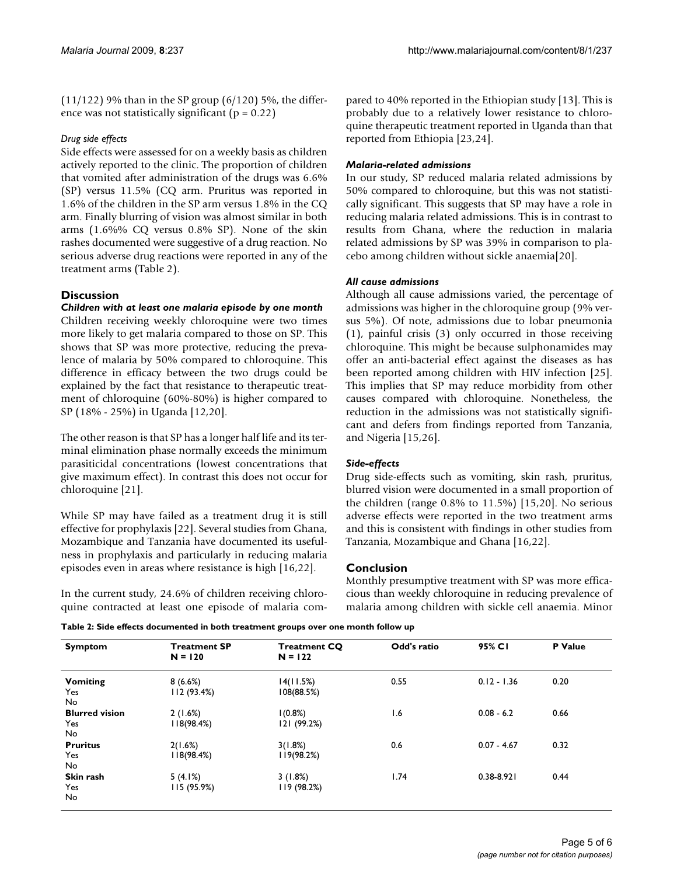(11/122) 9% than in the SP group (6/120) 5%, the difference was not statistically significant ( $p = 0.22$ )

## *Drug side effects*

Side effects were assessed for on a weekly basis as children actively reported to the clinic. The proportion of children that vomited after administration of the drugs was 6.6% (SP) versus 11.5% (CQ arm. Pruritus was reported in 1.6% of the children in the SP arm versus 1.8% in the CQ arm. Finally blurring of vision was almost similar in both arms (1.6%% CQ versus 0.8% SP). None of the skin rashes documented were suggestive of a drug reaction. No serious adverse drug reactions were reported in any of the treatment arms (Table [2](#page-4-0)).

# **Discussion**

*Children with at least one malaria episode by one month* Children receiving weekly chloroquine were two times more likely to get malaria compared to those on SP. This shows that SP was more protective, reducing the prevalence of malaria by 50% compared to chloroquine. This difference in efficacy between the two drugs could be explained by the fact that resistance to therapeutic treatment of chloroquine (60%-80%) is higher compared to SP (18% - 25%) in Uganda [[12](#page-5-9),[20\]](#page-5-17).

The other reason is that SP has a longer half life and its terminal elimination phase normally exceeds the minimum parasiticidal concentrations (lowest concentrations that give maximum effect). In contrast this does not occur for chloroquine [[21\]](#page-5-18).

While SP may have failed as a treatment drug it is still effective for prophylaxis [[22\]](#page-5-19). Several studies from Ghana, Mozambique and Tanzania have documented its usefulness in prophylaxis and particularly in reducing malaria episodes even in areas where resistance is high [[16](#page-5-13)[,22](#page-5-19)].

In the current study, 24.6% of children receiving chloroquine contracted at least one episode of malaria compared to 40% reported in the Ethiopian study [\[13](#page-5-10)]. This is probably due to a relatively lower resistance to chloroquine therapeutic treatment reported in Uganda than that reported from Ethiopia [\[23](#page-5-20),[24\]](#page-5-21).

# *Malaria-related admissions*

In our study, SP reduced malaria related admissions by 50% compared to chloroquine, but this was not statistically significant. This suggests that SP may have a role in reducing malaria related admissions. This is in contrast to results from Ghana, where the reduction in malaria related admissions by SP was 39% in comparison to placebo among children without sickle anaemia[[20](#page-5-17)].

## *All cause admissions*

Although all cause admissions varied, the percentage of admissions was higher in the chloroquine group (9% versus 5%). Of note, admissions due to lobar pneumonia (1), painful crisis (3) only occurred in those receiving chloroquine. This might be because sulphonamides may offer an anti-bacterial effect against the diseases as has been reported among children with HIV infection [\[25](#page-5-22)]. This implies that SP may reduce morbidity from other causes compared with chloroquine. Nonetheless, the reduction in the admissions was not statistically significant and defers from findings reported from Tanzania, and Nigeria [\[15](#page-5-12),[26](#page-5-23)].

# *Side-effects*

Drug side-effects such as vomiting, skin rash, pruritus, blurred vision were documented in a small proportion of the children (range 0.8% to 11.5%) [\[15](#page-5-12),[20\]](#page-5-17). No serious adverse effects were reported in the two treatment arms and this is consistent with findings in other studies from Tanzania, Mozambique and Ghana [[16,](#page-5-13)[22\]](#page-5-19).

## **Conclusion**

Monthly presumptive treatment with SP was more efficacious than weekly chloroquine in reducing prevalence of malaria among children with sickle cell anaemia. Minor

<span id="page-4-0"></span>**Table 2: Side effects documented in both treatment groups over one month follow up**

| <b>Symptom</b>                       | <b>Treatment SP</b><br>$N = 120$ | <b>Treatment CQ</b><br>$N = 122$ | Odd's ratio | 95% CI         | P Value |
|--------------------------------------|----------------------------------|----------------------------------|-------------|----------------|---------|
| <b>Vomiting</b><br>Yes<br>No.        | 8(6.6%)<br>112(93.4%)            | 14(11.5%)<br>108(88.5%)          | 0.55        | $0.12 - 1.36$  | 0.20    |
| <b>Blurred vision</b><br>Yes.<br>No. | 2(1.6%)<br>118(98.4%)            | 1(0.8%)<br>121 (99.2%)           | 1.6         | $0.08 - 6.2$   | 0.66    |
| <b>Pruritus</b><br>Yes<br>No.        | 2(1.6%)<br>118(98.4%)            | 3(1.8%)<br>119(98.2%)            | 0.6         | $0.07 - 4.67$  | 0.32    |
| Skin rash<br>Yes<br>No.              | 5(4.1%)<br>115 (95.9%)           | 3(1.8%)<br>119 (98.2%)           | 1.74        | $0.38 - 8.921$ | 0.44    |